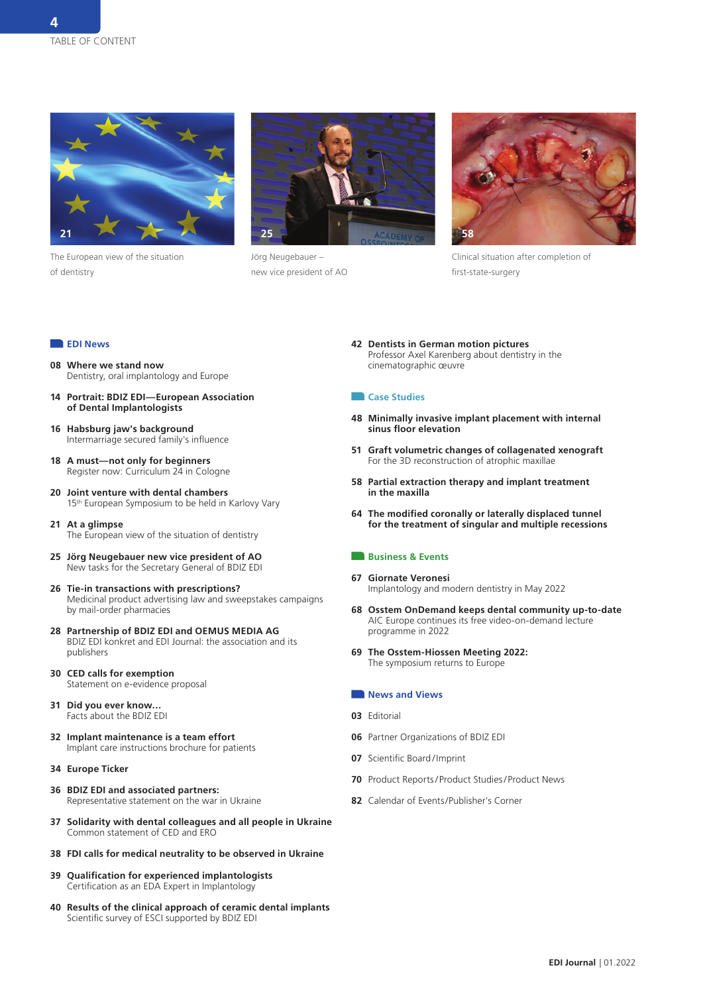

The European view of the situation of dentistry



Jörg Neugebauer – new vice president of AO



Clinical situation after completion of first-state-surgery

### **EDI News**

- **08 Where we stand now** Dentistry, oral implantology and Europe
- **14 Portrait: BDIZ EDI—European Association of Dental Implantologists**
- **16 Habsburg jaw's background** Intermarriage secured family's influence
- **18 A must—not only for beginners** Register now: Curriculum 24 in Cologne
- **20 Joint venture with dental chambers** 15<sup>th</sup> European Symposium to be held in Karlovy Vary
- **21 At a glimpse** The European view of the situation of dentistry
- **25 Jörg Neugebauer new vice president of AO** New tasks for the Secretary General of BDIZ EDI
- **26 Tie-in transactions with prescriptions?** Medicinal product advertising law and sweepstakes campaigns by mail-order pharmacies
- **28 Partnership of BDIZ EDI and OEMUS MEDIA AG** BDIZ EDI konkret and EDI Journal: the association and its publishers
- **30 CED calls for exemption** Statement on e-evidence proposal
- **31 Did you ever know…** Facts about the BDIZ EDI
- **32 Implant maintenance is a team effort** Implant care instructions brochure for patients
- **34 Europe Ticker**
- **36 BDIZ EDI and associated partners:** Representative statement on the war in Ukraine
- **37 Solidarity with dental colleagues and all people in Ukraine** Common statement of CED and ERO
- **38 FDI calls for medical neutrality to be observed in Ukraine**
- **39 Qualification for experienced implantologists** Certification as an EDA Expert in Implantology
- **40 Results of the clinical approach of ceramic dental implants** Scientific survey of ESCI supported by BDIZ EDI

**42 Dentists in German motion pictures** Professor Axel Karenberg about dentistry in the cinematographic œuvre

### **Case Studies**

- **48 Minimally invasive implant placement with internal sinus floor elevation**
- **51 Graft volumetric changes of collagenated xenograft** For the 3D reconstruction of atrophic maxillae
- **58 Partial extraction therapy and implant treatment in the maxilla**
- **64 The modified coronally or laterally displaced tunnel for the treatment of singular and multiple recessions**

### **Business & Events**

- **67 Giornate Veronesi** Implantology and modern dentistry in May 2022
- **68 Osstem OnDemand keeps dental community up-to-date** AIC Europe continues its free video-on-demand lecture programme in 2022
- **69 The Osstem-Hiossen Meeting 2022:** The symposium returns to Europe

#### **News and Views**

- **03** Editorial
- **06** Partner Organizations of BDIZ EDI
- **07** Scientific Board /Imprint
- **70** Product Reports /Product Studies /Product News
- **82** Calendar of Events/Publisher's Corner